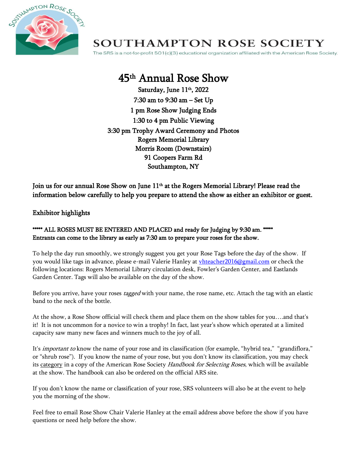

## **SOUTHAMPTON ROSE SOCIETY**

The SRS is a not-for-profit 501(c)(3) educational organization affiliated with the American Rose Society.

# 45th Annual Rose Show

Saturday, June 11 th, 2022 7:30 am to 9:30 am – Set Up 1 pm Rose Show Judging Ends 1:30 to 4 pm Public Viewing 3:30 pm Trophy Award Ceremony and Photos Rogers Memorial Library Morris Room (Downstairs) 91 Coopers Farm Rd Southampton, NY

Join us for our annual Rose Show on June  $11^{\rm th}$  at the Rogers Memorial Library! Please read the information below carefully to help you prepare to attend the show as either an exhibitor or guest.

#### Exhibitor highlights

#### \*\*\*\*\* ALL ROSES MUST BE ENTERED AND PLACED and ready for Judging by 9:30 am. \*\*\*\*\* Entrants can come to the library as early as 7:30 am to prepare your roses for the show.

To help the day run smoothly, we strongly suggest you get your Rose Tags before the day of the show. If you would like tags in advance, please e-mail Valerie Hanley a[t vhteacher2016@gmail.com](mailto:vhteacher2016@gmail.com) or check the following locations: Rogers Memorial Library circulation desk, Fowler's Garden Center, and Eastlands Garden Center. Tags will also be available on the day of the show.

Before you arrive, have your roses *tagged* with your name, the rose name, etc. Attach the tag with an elastic band to the neck of the bottle.

At the show, a Rose Show official will check them and place them on the show tables for you….and that's it! It is not uncommon for a novice to win a trophy! In fact, last year's show which operated at a limited capacity saw many new faces and winners much to the joy of all.

It's *important to* know the name of your rose and its classification (for example, "hybrid tea," "grandiflora," or "shrub rose"). If you know the name of your rose, but you don't know its classification, you may check its category in a copy of the American Rose Society Handbook for Selecting Roses, which will be available at the show. The handbook can also be ordered on the official ARS site.

If you don't know the name or classification of your rose, SRS volunteers will also be at the event to help you the morning of the show.

Feel free to email Rose Show Chair Valerie Hanley at the email address above before the show if you have questions or need help before the show.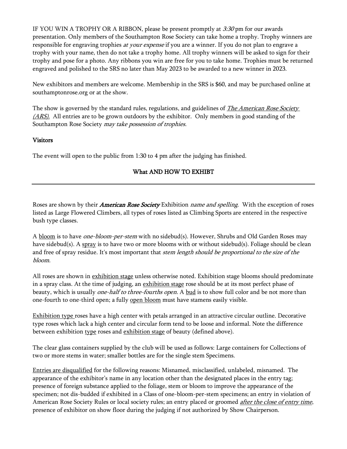IF YOU WIN A TROPHY OR A RIBBON, please be present promptly at  $3:30$  pm for our awards presentation. Only members of the Southampton Rose Society can take home a trophy. Trophy winners are responsible for engraving trophies at your expense if you are a winner. If you do not plan to engrave a trophy with your name, then do not take a trophy home. All trophy winners will be asked to sign for their trophy and pose for a photo. Any ribbons you win are free for you to take home. Trophies must be returned engraved and polished to the SRS no later than May 2023 to be awarded to a new winner in 2023.

New exhibitors and members are welcome. Membership in the SRS is \$60, and may be purchased online at southamptonrose.org or at the show.

The show is governed by the standard rules, regulations, and guidelines of *The American Rose Society* (ARS). All entries are to be grown outdoors by the exhibitor. Only members in good standing of the Southampton Rose Society may take possession of trophies.

#### Visitors

The event will open to the public from 1:30 to 4 pm after the judging has finished.

#### What AND HOW TO EXHIBT

Roses are shown by their *American Rose Society* Exhibition *name and spelling*. With the exception of roses listed as Large Flowered Climbers, all types of roses listed as Climbing Sports are entered in the respective bush type classes.

A bloom is to have *one-bloom-per-stem* with no sidebud(s). However, Shrubs and Old Garden Roses may have sidebud(s). A spray is to have two or more blooms with or without sidebud(s). Foliage should be clean and free of spray residue. It's most important that *stem length should be proportional to the size of the* bloom.

All roses are shown in exhibition stage unless otherwise noted. Exhibition stage blooms should predominate in a spray class. At the time of judging, an exhibition stage rose should be at its most perfect phase of beauty, which is usually *one-half to three-fourths open*. A bud is to show full color and be not more than one-fourth to one-third open; a fully open bloom must have stamens easily visible.

Exhibition type roses have a high center with petals arranged in an attractive circular outline. Decorative type roses which lack a high center and circular form tend to be loose and informal. Note the difference between exhibition type roses and exhibition stage of beauty (defined above).

The clear glass containers supplied by the club will be used as follows: Large containers for Collections of two or more stems in water; smaller bottles are for the single stem Specimens.

Entries are disqualified for the following reasons: Misnamed, misclassified, unlabeled, misnamed. The appearance of the exhibitor's name in any location other than the designated places in the entry tag; presence of foreign substance applied to the foliage, stem or bloom to improve the appearance of the specimen; not dis-budded if exhibited in a Class of one-bloom-per-stem specimens; an entry in violation of American Rose Society Rules or local society rules; an entry placed or groomed *after the close of entry time*, presence of exhibitor on show floor during the judging if not authorized by Show Chairperson.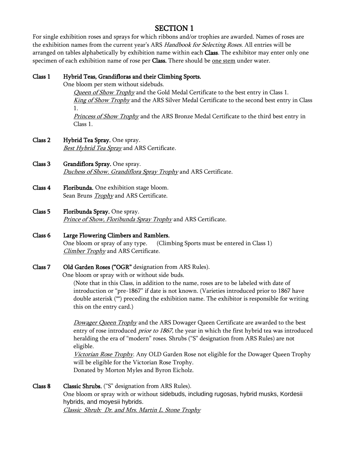### SECTION 1

For single exhibition roses and sprays for which ribbons and/or trophies are awarded. Names of roses are the exhibition names from the current year's ARS *Handbook for Selecting Roses*. All entries will be arranged on tables alphabetically by exhibition name within each Class. The exhibitor may enter only one specimen of each exhibition name of rose per Class. There should be <u>one stem</u> under water.

#### Class 1 Hybrid Teas, Grandifloras and their Climbing Sports.

One bloom per stem without sidebuds.

Queen of Show Trophy and the Gold Medal Certificate to the best entry in Class 1. King of Show Trophy and the ARS Silver Medal Certificate to the second best entry in Class 1.

Princess of Show Trophy and the ARS Bronze Medal Certificate to the third best entry in Class 1.

- Class 2 Hybrid Tea Spray. One spray. **Best Hybrid Tea Spray** and ARS Certificate.
- Class 3 Grandiflora Spray. One spray. Duchess of Show. Grandiflora Spray Trophy and ARS Certificate.
- Class 4 Floribunda. One exhibition stage bloom. Sean Bruns **Trophy** and ARS Certificate.
- Class 5 Floribunda Spray. One spray. Prince of Show, Floribunda Spray Trophy and ARS Certificate.
- Class 6 Large Flowering Climbers and Ramblers. One bloom or spray of any type. (Climbing Sports must be entered in Class 1) Climber Trophy and ARS Certificate.
- Class 7 Old Garden Roses ("OGR" designation from ARS Rules).

One bloom or spray with or without side buds.

(Note that in this Class, in addition to the name, roses are to be labeled with date of introduction or "pre-1867" if date is not known. (Varieties introduced prior to 1867 have double asterisk (\*\*) preceding the exhibition name. The exhibitor is responsible for writing this on the entry card.)

Dowager Queen Trophy and the ARS Dowager Queen Certificate are awarded to the best entry of rose introduced *prior to 1867*, the year in which the first hybrid tea was introduced heralding the era of "modern" roses. Shrubs ("S" designation from ARS Rules) are not eligible.

Victorian Rose Trophy. Any OLD Garden Rose not eligible for the Dowager Queen Trophy will be eligible for the Victorian Rose Trophy. Donated by Morton Myles and Byron Eicholz.

Class 8 Classic Shrubs. ("S" designation from ARS Rules). One bloom or spray with or without sidebuds, including rugosas, hybrid musks, Kordesii hybrids, and moyesii hybrids. Classic Shrub: Dr. and Mrs. Martin L. Stone Trophy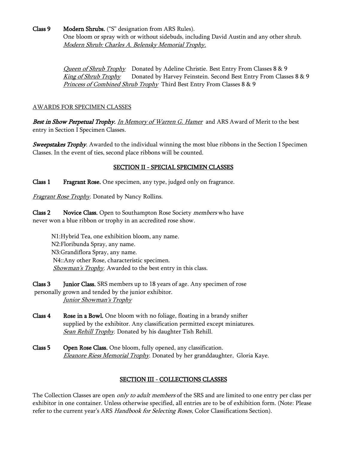Class 9 Modern Shrubs. ("S" designation from ARS Rules). One bloom or spray with or without sidebuds, including David Austin and any other shrub. Modern Shrub: Charles A. Belensky Memorial Trophy.

> Queen of Shrub Trophy Donated by Adeline Christie. Best Entry From Classes 8 & 9 King of Shrub Trophy Donated by Harvey Feinstein. Second Best Entry From Classes 8 & 9 Princess of Combined Shrub Trophy Third Best Entry From Classes 8 & 9

#### AWARDS FOR SPECIMEN CLASSES

Best in Show Perpetual Trophy. In Memory of Warren G. Hamer and ARS Award of Merit to the best entry in Section I Specimen Classes.

**Sweepstakes Trophy**. Awarded to the individual winning the most blue ribbons in the Section I Specimen Classes. In the event of ties, second place ribbons will be counted.

#### SECTION II - SPECIAL SPECIMEN CLASSES

Class 1 Fragrant Rose. One specimen, any type, judged only on fragrance.

**Fragrant Rose Trophy.** Donated by Nancy Rollins.

Class 2 Novice Class. Open to Southampton Rose Society members who have never won a blue ribbon or trophy in an accredited rose show.

 N1:Hybrid Tea, one exhibition bloom, any name. N2:Floribunda Spray, any name. N3:Grandiflora Spray, any name. N4::Any other Rose, characteristic specimen. Showman's Trophy. Awarded to the best entry in this class.

Class 3 Junior Class. SRS members up to 18 years of age. Any specimen of rose personally grown and tended by the junior exhibitor. Junior Showman's Trophy

- Class 4 Rose in a Bowl. One bloom with no foliage, floating in a brandy snifter supplied by the exhibitor. Any classification permitted except miniatures. Sean Rehill Trophy. Donated by his daughter Tish Rehill.
- Class 5 Open Rose Class. One bloom, fully opened, any classification. Eleanore Riess Memorial Trophy. Donated by her granddaughter, Gloria Kaye.

#### SECTION III - COLLECTIONS CLASSES

The Collection Classes are open *only to adult members* of the SRS and are limited to one entry per class per exhibitor in one container. Unless otherwise specified, all entries are to be of exhibition form. (Note: Please refer to the current year's ARS Handbook for Selecting Roses, Color Classifications Section).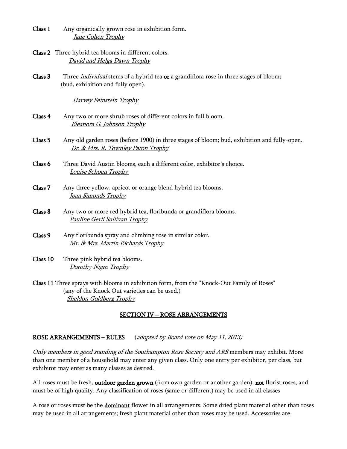- Class 1 Any organically grown rose in exhibition form. Jane Cohen Trophy
- Class 2 Three hybrid tea blooms in different colors. David and Helga Dawn Trophy
- Class 3 Three *individual* stems of a hybrid tea or a grandiflora rose in three stages of bloom; (bud, exhibition and fully open).

Harvey Feinstein Trophy

- Class 4 Any two or more shrub roses of different colors in full bloom. Eleanora G. Johnson Trophy
- Class 5 Any old garden roses (before 1900) in three stages of bloom; bud, exhibition and fully-open. Dr. & Mrs. R. Townley Paton Trophy
- Class 6 Three David Austin blooms, each a different color, exhibitor's choice. Louise Schoen Trophy
- Class 7 Any three yellow, apricot or orange blend hybrid tea blooms. Joan Simonds Trophy
- Class 8 Any two or more red hybrid tea, floribunda or grandiflora blooms. Pauline Gerli Sullivan Trophy
- Class 9 Any floribunda spray and climbing rose in similar color. Mr. & Mrs. Martin Richards Trophy
- Class 10 Three pink hybrid tea blooms. Dorothy Nigro Trophy
- Class 11 Three sprays with blooms in exhibition form, from the "Knock-Out Family of Roses" (any of the Knock Out varieties can be used.) Sheldon Goldberg Trophy

#### SECTION IV – ROSE ARRANGEMENTS

#### ROSE ARRANGEMENTS – RULES (adopted by Board vote on May 11, 2013)

Only members in good standing of the Southampton Rose Society and ARS members may exhibit. More than one member of a household may enter any given class. Only one entry per exhibitor, per class, but exhibitor may enter as many classes as desired.

All roses must be fresh, **outdoor garden grown** (from own garden or another garden), **not** florist roses, and must be of high quality. Any classification of roses (same or different) may be used in all classes

A rose or roses must be the **dominant** flower in all arrangements. Some dried plant material other than roses may be used in all arrangements; fresh plant material other than roses may be used. Accessories are